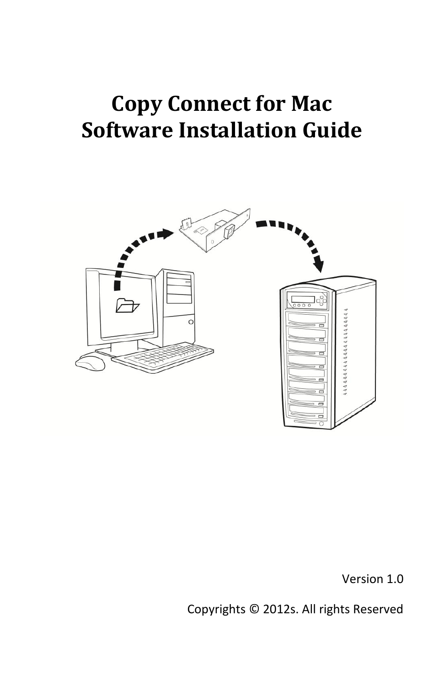## **Copy Connect for Mac Software Installation Guide**



Version 1.0

Copyrights © 2012s. All rights Reserved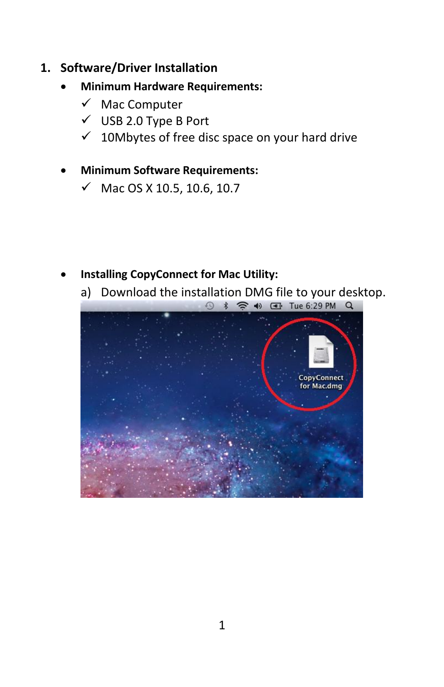- **1. Software/Driver Installation** 
	- **Minimum Hardware Requirements:**
		- $\checkmark$  Mac Computer
		- $\checkmark$  USB 2.0 Type B Port
		- $\checkmark$  10Mbytes of free disc space on your hard drive
	- **Minimum Software Requirements:**
		- $\checkmark$  Mac OS X 10.5, 10.6, 10.7

- **Installing CopyConnect for Mac Utility:**
	- a) Download the installation DMG file to your desktop.<br>  $\begin{array}{rcl} \textcircled{3} & \textcircled{4} & \textcircled{5} & \textcircled{4} & \textcircled{1} & \textcircled{1} \end{array}$

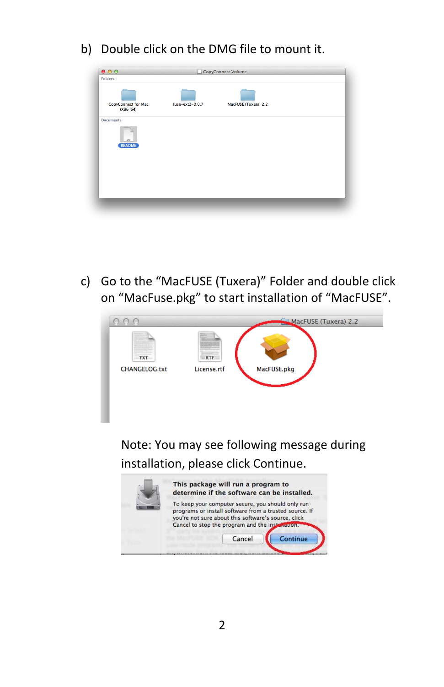b) Double click on the DMG file to mount it.

| 000<br><b>Folders</b>             |                 | CopyConnect Volume   |  |
|-----------------------------------|-----------------|----------------------|--|
| CopyConnect for Mac<br>$(X86_64)$ | fuse-ext2-0.0.7 | MacFUSE (Tuxera) 2.2 |  |
| <b>Documents</b>                  |                 |                      |  |
| <b>KTF</b>                        |                 |                      |  |
| <b>README</b>                     |                 |                      |  |
|                                   |                 |                      |  |
|                                   |                 |                      |  |
|                                   |                 |                      |  |

c) Go to the "MacFUSE (Tuxera)" Folder and double click on "MacFuse.pkg" to start installation of "MacFUSE".



Note: You may see following message during installation, please click Continue.

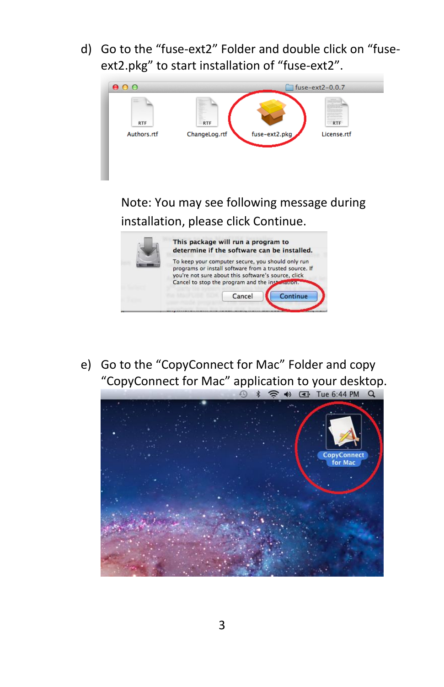d) Go to the "fuse-ext2" Folder and double click on "fuseext2.pkg" to start installation of "fuse-ext2".



installation, please click Continue.



e) Go to the "CopyConnect for Mac" Folder and copy "CopyConnect for Mac" application to your desktop.<br>  $\begin{array}{rcl} \circ & * & \circ \\ \circ & * & \circ \end{array}$ 

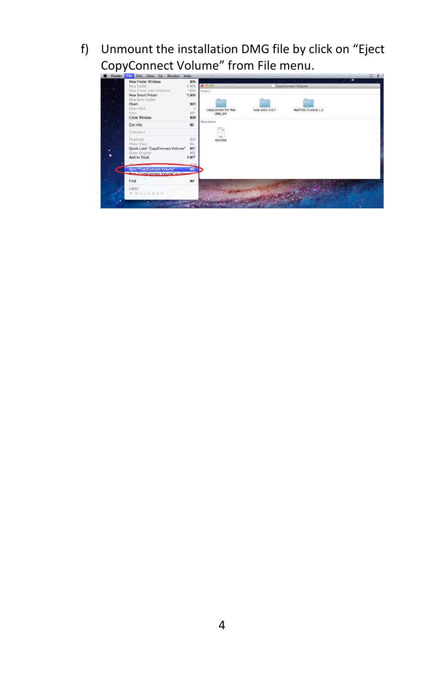f) Unmount the installation DMG file by click on "Eject CopyConnect Volume" from File menu.

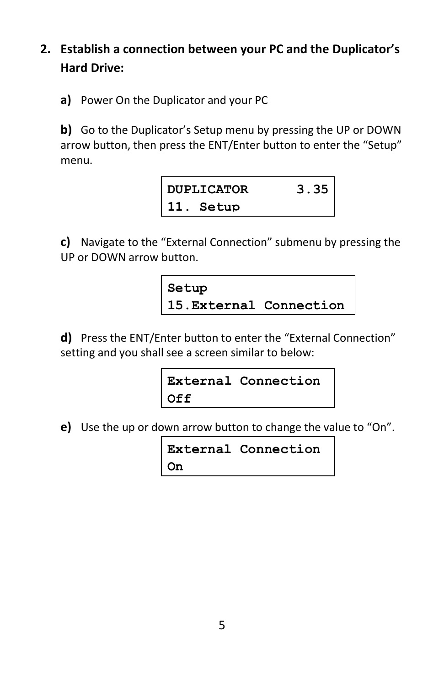## **2. Establish a connection between your PC and the Duplicator's Hard Drive:**

**a)** Power On the Duplicator and your PC

**b)** Go to the Duplicator's Setup menu by pressing the UP or DOWN arrow button, then press the ENT/Enter button to enter the "Setup" menu.

| DUPLICATOR | 3.35 |
|------------|------|
| 11. Setup  |      |

**c)** Navigate to the "External Connection" submenu by pressing the UP or DOWN arrow button.

**Setup 15.External Connection**

**d)** Press the ENT/Enter button to enter the "External Connection" setting and you shall see a screen similar to below:

```
External Connection
Off
```
**e)** Use the up or down arrow button to change the value to "On".

```
External Connection
On
```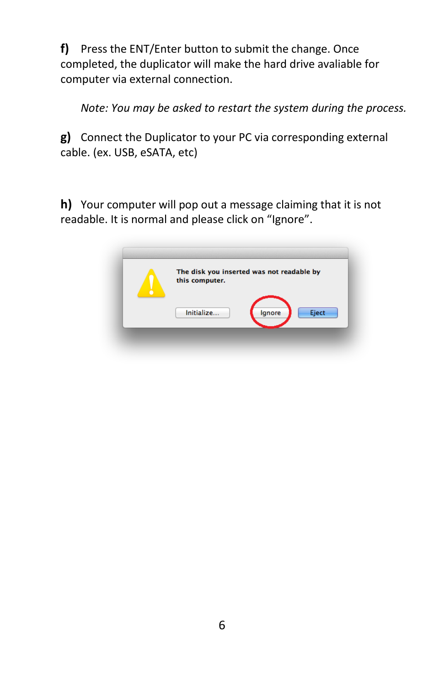**f)** Press the ENT/Enter button to submit the change. Once completed, the duplicator will make the hard drive avaliable for computer via external connection.

*Note: You may be asked to restart the system during the process.*

**g)** Connect the Duplicator to your PC via corresponding external cable. (ex. USB, eSATA, etc)

**h)** Your computer will pop out a message claiming that it is not readable. It is normal and please click on "Ignore".

| The disk you inserted was not readable by<br>this computer. |
|-------------------------------------------------------------|
| Initialize<br>Eject<br>Ignore                               |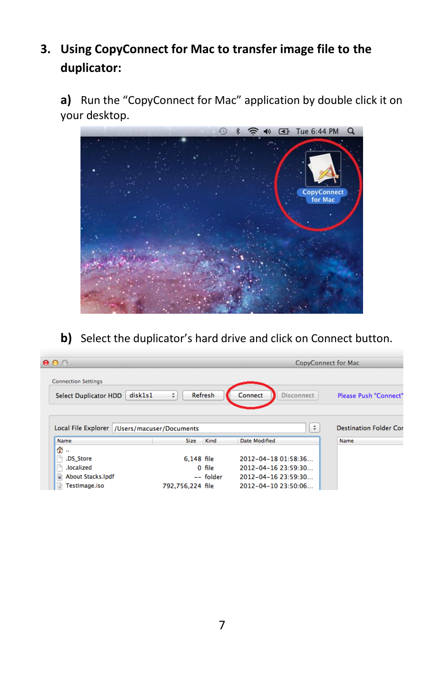## **3. Using CopyConnect for Mac to transfer image file to the duplicator:**

**a)** Run the "CopyConnect for Mac" application by double click it on your desktop.



**b)** Select the duplicator's hard drive and click on Connect button.

| 000                                            |                                |                              | <b>CopyConnect for Mac</b>    |
|------------------------------------------------|--------------------------------|------------------------------|-------------------------------|
| <b>Connection Settings</b>                     |                                |                              |                               |
| <b>Select Duplicator HDD</b>                   | <b>Refresh</b><br>disk1s1<br>÷ | Connect<br><b>Disconnect</b> | <b>Please Push "Connect"</b>  |
|                                                |                                |                              |                               |
| Local File Explorer   /Users/macuser/Documents |                                |                              | $\div$                        |
| Name                                           | Kind<br><b>Size</b>            | Date Modified                | Name                          |
| 合<br>$\mathbf{r}$                              |                                |                              |                               |
| .DS Store                                      | 6,148 file                     | 2012-04-18 01:58:36          | <b>Destination Folder Cor</b> |
| .localized                                     | 0 file                         | 2012-04-16 23:59:30          |                               |
| <b>About Stacks.lpdf</b><br>竊                  | -- folder                      | 2012-04-16 23:59:30          |                               |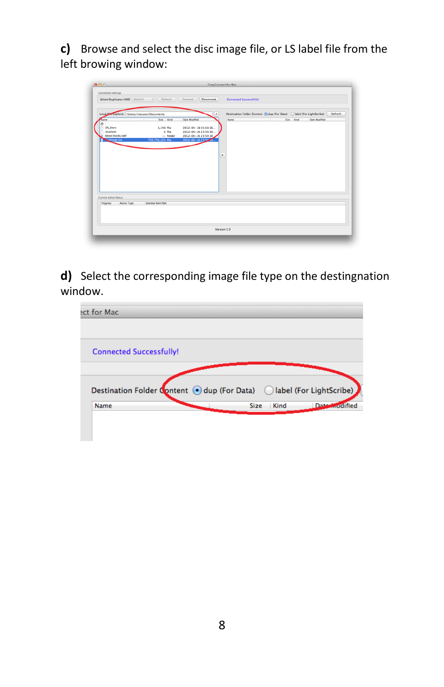**c)** Browse and select the disc image file, or LS label file from the left browing window:

| 0.06                                        |                                         | CopyConnect for Mac   |                                                                         |                            |         |
|---------------------------------------------|-----------------------------------------|-----------------------|-------------------------------------------------------------------------|----------------------------|---------|
| <b>Connection Settings</b>                  |                                         |                       |                                                                         |                            |         |
|                                             | Select Duplicator HDD disk1s1 : Refresh | Connect<br>Disconnect | <b>Connected Successfully!</b>                                          |                            |         |
|                                             |                                         |                       |                                                                         |                            |         |
| Local Ele Explorer /Users/macuser/Documents |                                         | l s                   | Destination Folder Content (c) dup (For Data) (blabel (For LightScribe) |                            | Refresh |
| Name                                        | Size Kind                               | Date Modified         | Name                                                                    | Date Modified<br>Size Kind |         |
| .DS_Store                                   | 6.148 file                              | 2012-04-18 01:58:36   |                                                                         |                            |         |
| <b>Jocalized</b>                            | O file                                  | 2012-04-16 23:59:30   |                                                                         |                            |         |
| About Stacks lpdf                           | -- folder                               | 2012-04-16 23:59:30,  |                                                                         |                            |         |
| set sommer                                  | 792,756,224 file                        | 2012-04-10 23:50      |                                                                         |                            |         |
|                                             |                                         |                       |                                                                         |                            |         |
|                                             |                                         |                       |                                                                         |                            |         |
|                                             |                                         |                       | ٠                                                                       |                            |         |
|                                             |                                         |                       |                                                                         |                            |         |
|                                             |                                         |                       |                                                                         |                            |         |
|                                             |                                         |                       |                                                                         |                            |         |
|                                             |                                         |                       |                                                                         |                            |         |
|                                             |                                         |                       |                                                                         |                            |         |
|                                             |                                         |                       |                                                                         |                            |         |
|                                             |                                         |                       |                                                                         |                            |         |
| Current Action Status                       |                                         |                       |                                                                         |                            |         |
| <b>Action Type</b><br>Progress              | Selected Item Path                      |                       |                                                                         |                            |         |
|                                             |                                         |                       |                                                                         |                            |         |
|                                             |                                         |                       |                                                                         |                            |         |
|                                             |                                         |                       |                                                                         |                            |         |
|                                             |                                         |                       |                                                                         |                            |         |
|                                             |                                         |                       | Version 1.0                                                             |                            |         |
|                                             |                                         |                       |                                                                         |                            |         |
|                                             |                                         |                       |                                                                         |                            |         |

**d)** Select the corresponding image file type on the destingnation window.

| ect for Mac                    |                                                                                       |               |
|--------------------------------|---------------------------------------------------------------------------------------|---------------|
| <b>Connected Successfully!</b> |                                                                                       |               |
|                                |                                                                                       |               |
|                                | Destination Folder Content ⊙ dup (For Data) © label (For LightScribe)<br>Kind<br>Size | Date worlffed |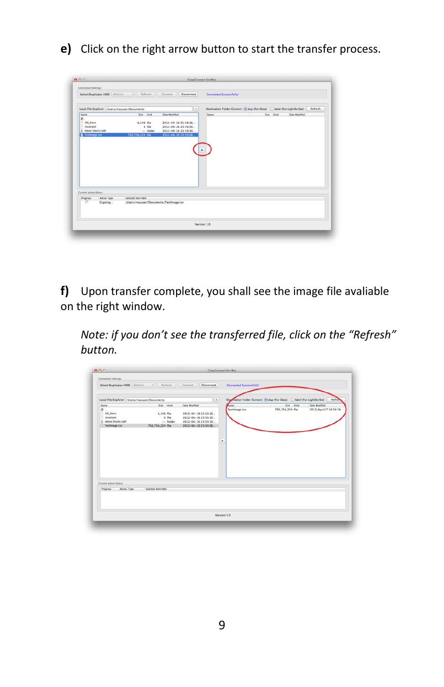**e)** Click on the right arrow button to start the transfer process.

| Select Duplicator HDD disk1s1 |             | Refresh<br>$\frac{1}{2}$                     | Disconnect<br>Connect  | <b>Connected Successfully!</b> |                                                                           |         |
|-------------------------------|-------------|----------------------------------------------|------------------------|--------------------------------|---------------------------------------------------------------------------|---------|
|                               |             | Local File Explorer /Users/macuser/Documents | $\left  \cdot \right $ |                                | Destination Folder Content (c) dup (For Data) [C] label (For LightScribe) | Refresh |
| Name                          |             | Size Kind                                    | Date Modified          | <b>Name</b>                    | Date Modified<br>Size Kind                                                |         |
| 全…                            |             |                                              |                        |                                |                                                                           |         |
| <b>DS Store</b>               |             | 6.148 file                                   | 2012-04-18 01:58:36    |                                |                                                                           |         |
| <b>Incalized</b>              |             | 0 file                                       | 2012-04-16 23:59:30    |                                |                                                                           |         |
| a About Stacks lodf           |             | -- folder                                    | 2012-04-16 23:59:30    |                                |                                                                           |         |
| Testimage.iso                 |             | 792.756.224 file                             | 2012-04-10 23:50:06.   |                                |                                                                           |         |
|                               |             |                                              |                        |                                |                                                                           |         |
|                               |             |                                              |                        |                                |                                                                           |         |
|                               |             |                                              |                        |                                |                                                                           |         |
| Current Action Status         |             |                                              |                        |                                |                                                                           |         |
| Progress                      | Action Type | Selected item Path                           |                        |                                |                                                                           |         |
| ō                             | Copying     | /Users/macuser/Documents/TestImage.iso       |                        |                                |                                                                           |         |

**f)** Upon transfer complete, you shall see the image file avaliable on the right window.

*Note: if you don't see the transferred file, click on the "Refresh" button.*

|                                                       |                                                                                                                      | CopyConnect for Mac |                                   |                                                                                                                             |
|-------------------------------------------------------|----------------------------------------------------------------------------------------------------------------------|---------------------|-----------------------------------|-----------------------------------------------------------------------------------------------------------------------------|
|                                                       |                                                                                                                      |                     |                                   |                                                                                                                             |
|                                                       | Connect<br>Disconnect                                                                                                |                     |                                   |                                                                                                                             |
|                                                       | $\left[ \bullet \right]$                                                                                             |                     |                                   | Refres                                                                                                                      |
| Size Kind                                             | Date Modified                                                                                                        | <b>Fisme</b>        | Size Kind                         | Date Modified                                                                                                               |
| 6.148 file<br>O file<br>-- folder<br>792,756,224 file | 2012-04-18 01:58:36<br>2012-04-16 23:59:30<br>2012-04-16 23:59:30<br>2012-04-10 23:50:06                             |                     |                                   | 2012/Apr/17 18:59:16                                                                                                        |
|                                                       |                                                                                                                      |                     |                                   |                                                                                                                             |
|                                                       |                                                                                                                      |                     |                                   |                                                                                                                             |
|                                                       |                                                                                                                      |                     |                                   |                                                                                                                             |
|                                                       | Select Duplicator HDD disk1s1 : Refresh<br>Local File Explorer /Users/macuser/Documents<br><b>Selected Item Path</b> |                     | Testimage.iso<br>٠<br>Version 1.0 | <b>Connected Successfully!</b><br>Desmation Folder Content (c) dup (For Data) (blabel (For LightScribe)<br>792,756,224 file |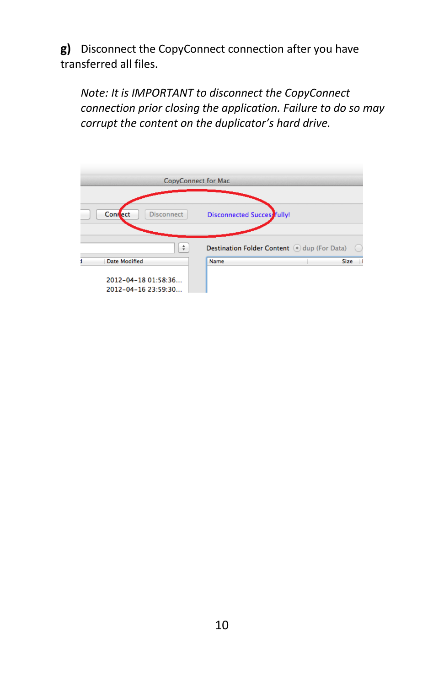**g)** Disconnect the CopyConnect connection after you have transferred all files.

*Note: It is IMPORTANT to disconnect the CopyConnect connection prior closing the application. Failure to do so may corrupt the content on the duplicator's hard drive.*

| <b>CopyConnect for Mac</b>                 |                                               |
|--------------------------------------------|-----------------------------------------------|
| <b>Confect</b><br><b>Disconnect</b>        | <b>Disconnected Succes</b> fully!             |
| ÷                                          | Destination Folder Content (.) dup (For Data) |
| Date Modified                              | <b>Name</b><br><b>Size</b>                    |
| 2012-04-18 01:58:36<br>2012-04-16 23:59:30 |                                               |